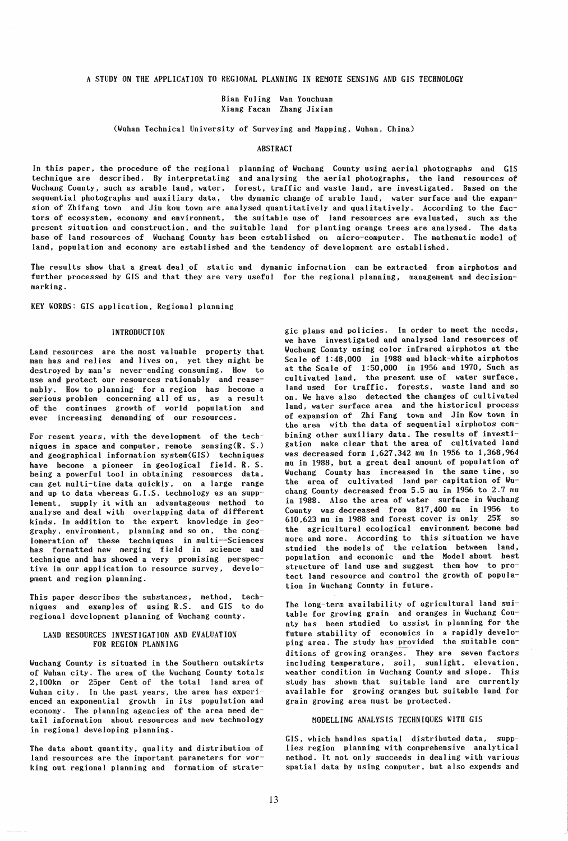A STUDY ON THE APPLICATION TO REGIONAL PLANNING IN REMOTE SENSING AND GIS TECHNOLOGY

Bian Fuling Wan Youchuan Xiang Facan Zhang Jixian

(Wuhan Technical University of Surveying and Mapping, Wuhan. China)

## **ABSTRACT**

In this paper, the procedure of the regional planning of Wuchang County using aerial photographs and GIS technique are described. By interpretating and analysing the aerial photographs. the land resources of Wuchang County, such as arable land, water, forest, traffic and waste land, are investigated. Based on the sequential photographs and auxiliary data, the dynamic change of arable land, water surface and the expansion of Zhifang town and Jin kou town are analysed quantitatively and qualitatively. According to the factors of ecosystem, economy and environment, the suitable use of land resources are evaluated, such as the present situation and construction, and the suitable land for planting orange trees are analysed. The data base of land resources of Wuchang County has been established on micro-computer. The mathematic model of land. population and economy are established and the tendency of development are established.

The results show that a great deal of static and dynamic information can be extracted from airphotos and further processed by GIS and that they are very useful for the regional planning, management and decisionmarking.

KEY WORDS: GIS application, Regional planning

### INTRODUCTION

Land resources are the most valuable property that man has and relies and lives on, yet they might be destroyed by man's never-ending consuming. How to use and protect our resources rationably and reasenably. How to planning for a region has become a serious problem concerning all of us, as a result of the continues growth of world population and ever increasing demanding of our resources.

For resent years, with the development of the techniques in space and computer, remote sensing(R. S.) and geographical information system(GIS) techniques have become a pioneer in geological field. R. S. being a powerful tool in obtaining resources data. can get multi-time data quickly, on a large range and up to data whereas G.I.S. technology as an supplement, supply it with an advantageous method to analyse and deal with overlapping data of different kinds. In addition to the expert knowledge in geography, environment, planning and so on, the conglomeration of these techniques in multi--Sciences has formatted new merging field in science and technique and has showed a very promising perspective in our application to resource survey, development and region planning.

This paper describes the substances, method, techniques and examples of using R.S. and GIS to do regional development planning of Wuchang county.

# LAND RESOURCES INVESTIGATION AND EVALUATION FOR REGION PLANNING

Wuchang County is situated in the Southern outskirts of Wuhan city. The area of the Wuchang County totals 2.100km or 25per Cent of the total land area of Wuhan city. In the past years, the area has experienced an exponential growth in its population and economy. The planning agencies of the area need detail information about resources and new technology in regional developing planning.

The data about quantity, quality and distribution of land resources are the important parameters for working out regional planning and formation of strategic plans and policies. In order to meet the needs, we have investigated and analysed land resources of Wuchang County using color infrared airphotos at the Scale of 1:48,000 in 1988 and black-white airphotos at the Scale of 1:50,000 in 1956 and 1970, Such as cultivated land, the present use of water surface, land used for traffic, forests, waste land and so on. We have also detected the changes of cultivated land, water surface area and the historical process of expansion of Zhi Fang town and Jin Kow town in the area with the data of sequential airphotos combining other auxiliary data. The results of investigation make clear that the area of cultivated land was decreased form 1,627,342 mu in 1956 to 1,368,964 mu in 1988, but a great deal amount of population of Wuchang County has increased in the same time. so the area of cultivated land per capitation of Wuchang County decreased from 5.5 mu in 1956 to 2.7 mu in 1988. Also the area of water surface in Wuchang County was decreased from 817,400 mu in 1956 to 610,623 mu in 1988 and forest cover is only 25% so the agricultural ecological environment become bad more and more. According to this situation we have studied the models of the relation between land, population and economic and the Model about best structure of land use and suggest them how to protect land resource and control the growth of population in Wuchang County in future.

The long-term availability of agricultural land suitable for growing grain and oranges in Wuchang County has been studied to assist in planning for the future stability of economics in a rapidly developing area. The study has provided the suitable conditions of growing oranges. They are seven factors including temperature, soil, sunlight, elevation, weather condition in Wuchang County and slope. This study has shown that suitable land are currently available for growing oranges but suitable land for grain growing area must be protected.

# MODELLING ANALYSIS TECHNIQUES WITH GIS

GIS, which handles spatial distributed data, supplies region planning with comprehensive analytical method. It not only succeeds in dealing with various spatial data by using computer, but also expends and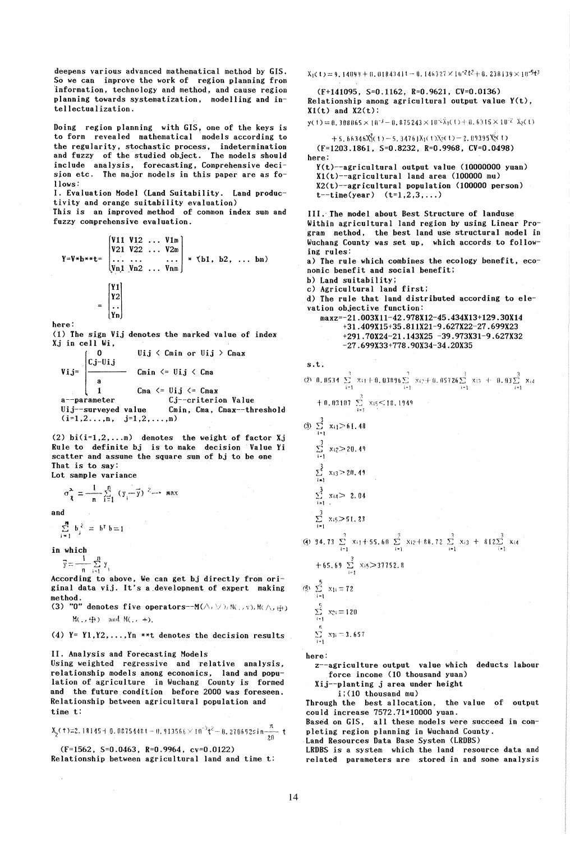deepens various advanced mathematical method by GIS. So we can improve the work of region planning from 'information, technology and method, and cause region planning towards systematization. modelling and intellectualization.

Doing region planning with GIS. one of the keys is to form revealed mathematical models according to the regularity, stochastic process, indetermination and fuzzy of the studied object. The models should include analysis, forecasting, Comprehensive decision etc. The major models in this paper are as follows:

I. Evaluation Model (Land Suitability. Land productivity and orange suitability evaluation)

This is an improved method of common index sum and fuzzy comprehensive evaluation.

$$
Y=V*b**t=\begin{bmatrix}V11 & V12 & \dots & V1m \\ V21 & V22 & \dots & V2m \\ \dots & \dots & \dots & \dots \\ Vn1 & Vn2 & \dots & Vnn \\ \vdots & \vdots & \ddots & \vdots \\ Vn1 & Vn2 & \dots & Vnn \end{bmatrix} * \langle b1, b2, \dots bm \rangle
$$

$$
= \begin{bmatrix} Y1 \\ Y2 \\ \vdots \\ Yn \end{bmatrix}
$$

here:

 $(1)$  The sign Vij denotes the marked value of index Xj in cell Wi.

$$
\mathtt{Vij} = \begin{bmatrix} 0 & \text{Uij} < \text{Cmin or Uij} > \text{Cmax} \\ \begin{array}{c} \text{Cj-Uij} \\ \text{a} \end{array} & \text{Cmin} \leq \text{Uij} < \text{Cma} \\ \text{A} & \text{Cma} \leq \text{Uij} \leq \text{Cmax} \\ \text{a--parameter} & \text{Cj--criterion Value} \\ \text{Uij--surveyed value} & \text{Cmin, Cma, Cmax--threshold} \\ \begin{array}{c} \text{(i=1,2...,n, j=1,2,...,m)} \end{array} \end{bmatrix}
$$

(2)  $\mathrm{bi}(i=1,2,...,m)$  denotes the weight of factor Xj Rule to definite bj is to make decision Value Yi scatter and assume the square sum of bj to be one That is to say: Lot sample variance

$$
\sigma_{\hat{\chi}}^2 = \frac{1}{n} \sum_{i=1}^n (y_i - \bar{y})^{2} \longrightarrow \text{max}
$$

and

 $\sum_{i=1}^{18} b_i^2 = b^7 b = 1$ 

in which<br> $\overline{y} = \frac{1}{n} \sum_{i=1}^{n} y_i$ 

According to above. We can get bj directly from original data vij. It's a.development of expert making method.

(3) "0" denotes five operators--M( $\wedge$ ,  $\vee$ ), M(,  $\vee$ ), M( $\wedge$ ,  $\oplus$ )  $M(., \oplus)$  and  $M(., +),$ 

(4)  $Y = Y1, Y2, \ldots, Yn$  \*\*t denotes the decision results

II. Analysis and Forecasting Models

Using weighted regressive and relative analysis, relationship models among economics. land and population of agriculture in Wuchang County is formed and the future condition before 2000 was foreseen. Relationship between agricultural population and time t:

$$
X_{2}(t)=2.18145+0.0875448\,t-0.913566\times10^{-3}t^{2}-0.270692s\,in\frac{\pi}{20},\,t
$$

(F=1562, S=0.0463, R=0.9964, cv=0.0122) Relationship between agricultural land and time t:

 $X_1(1) = 9.14099 + 0.01843411 - 0.146327 \times 10^{-2} t^2 + 0.238139 \times 10^{-5} t^3$ (F+141095, S=0.1162, R=0.9621. CV=0.0136) Relationship among agricultural output value Y(t),  $X1(t)$  and  $X2(t)$ :  $y( t) = 0.308065 \times 10^{-3} - 0.875243 \times 10^{-2} \lambda_1( t) + 0.6315 \times 10^{-2} \lambda_2(t)$  $+ 5.66346X_1^2(t)- 5.34761X_1(t)X_2(t)- 2.09395X_2^2(t)$ (F=1203.1861, S=0.8232, R=0.9968, CV=0.0498) here: Y(t)--agricultural output value (10000000 yuan) X1(t)--agricultural land area (100000 mu)  $X2(t)$ --agricultural population (100000 person)  $t$ -time(year)  $(t=1, 2, 3, ...)$ III. The model about Best Structure of landuse Within agricultural land region by using Linear Program method. the best land use structural model in Wuchang County was set up, which accords to following rules: a) The rule which combines the ecology benefit, economic benefit and social benefit; b) Land suitability; c) Agricultural land first; d) The rule that land distributed according to elevation objective function: maxz=-21.003X11-42.978X12-45.434X13+129.30X14 +31.409X15+35.811X21-9.627X22-27.699X23 +291. 70X24-21.143X25 -39 .973X31-9 .627X32 -27.699X33+778.90X34-34.20X35 s.t.  $(2)$  0.0534  $\sum_{i=1}^{3}$   $x_{i1} + 0.03896 \sum_{i=1}^{3} x_{i2} + 0.05726 \sum_{i=1}^{3} x_{i3} + 0.03 \sum_{i=1}^{3} x_{i4}$  $+0.03107 \sum_{i=1}^{3} x_{i}5 \le 10.1949$  $\circled{3}$   $\sum_{i=1}^{3}$   $x_{i}$  > 61.48  $\sum_{i=1}^{3} x_i 2 \ge 20.49$  $\sum_{i=1}^{3} x_{i3} > 20.49$  $\sum_{i=1}^{3}$  Xid > 2.04  $\sum_{i=1}^{3} x_{i}5 \ge 51.23$  $\frac{3}{4}$  34.73  $\sum_{i=1}^{3}$   $x_{i1}+55.60$   $\sum_{i=1}^{3}$   $x_{i2}+88.72$   $\sum_{i=1}^{3}$   $x_{i3} + 812\sum_{i=1}^{3}$   $x_{i4}$  $+65.69 \sum_{i=1}^{3} x_i 5 > 37752.8$  $\circled{5}$   $\Sigma$   $x_{1i} = 72$  $\sum_{i=1}^{5}$   $x_{2i} = 120$  $\sum_{i\geq 1}$   $\propto$ 31  $\equiv$  31, 657  $\sum$ here: z--agriculture output value which deducts labour force income (10 thousand yuan) Xij--planting j area under height i;(10 thousand mu) Through the best allocation, the value of output

could increase 7572.71\*10000 yuan. Based on GIS, all these models were succeed in completing region planning in Wuchand County.

Land Resources Data Base System (LRDBS)

LRDBS is a system which the land resource data and related parameters are stored in and some analysis